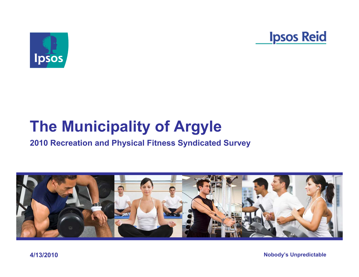



# **The Municipality of Argyle**

#### **2010 Recreation and Physical Fitness Syndicated Survey**

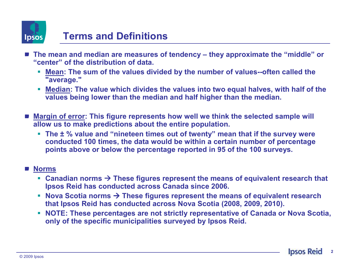

#### **Terms and Definitions**

- **The mean and median are measures of tendency – they approximate the "middle" or "center" of the distribution of data.**
	- L **Mean: The sum of the values divided by the number of values--often called the "average."**
	- **Median:** The value which divides the values into two equal halves, with half of the **maging** lower than the median and half bigher than the median **values being lower than the median and half higher than the median.**
- Margin of error: This figure represents how well we think the selected sample will **allow us to make predictions about the entire population.** 
	- **The ± % value and "nineteen times out of twenty" mean that if the survey were conducted 100 times, the data would be within a certain number of percentage points above or below the percentage reported in 95 of the 100 surveys.**

#### **Norms**

- Canadian norms → These figures represent the means of equivalent research that <br>**Insos Reid has conducted across Canada** since 2006. **Ipsos Reid has conducted across Canada since 2006.**
- Nova Scotia norms → These figures represent the means of equivalent research **but that loses** Reid has conducted across Nova Scotia (2008, 2009, 2010). **that Ipsos Reid has conducted across Nova Scotia (2008, 2009, 2010).**
- **NOTE: These percentages are not strictly representative of Canada or Nova Scotia, and** *November 2014* **only of the specific municipalities surveyed by Ipsos Reid.**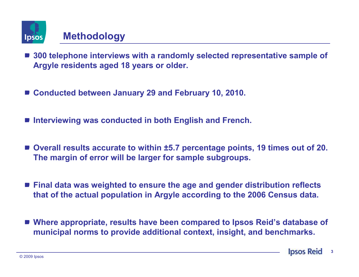

#### **Methodology**

- 300 telephone interviews with a randomly selected representative sample of **Argyle residents aged 18 years or older.**
- Conducted between January 29 and February 10, 2010.
- **Interviewing was conducted in both English and French.**
- Overall results accurate to within ±5.7 percentage points, 19 times out of 20. **The margin of error will be larger for sample subgroups.**
- **Final data was weighted to ensure the age and gender distribution reflects that of the actual population in Argyle according to the 2006 Census data.**
- Where appropriate, results have been compared to Ipsos Reid's database of **municipal norms to provide additional context, insight, and benchmarks.**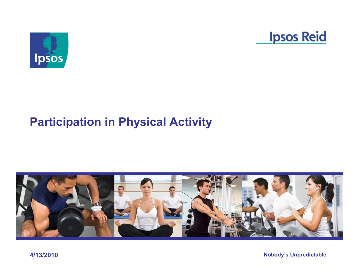



# **Participation in Physical Activity**



**4/13/2010**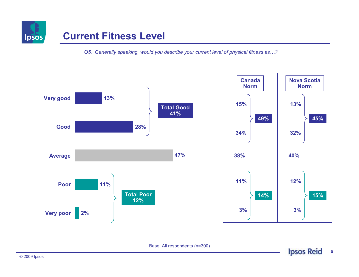

#### **Current Fitness Level**

*Q5. Generally speaking, would you describe your current level of physical fitness as…?*



Base: All respondents (n=300)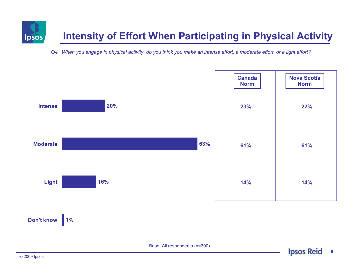

*Q4. When you engage in physical activity, do you think you make an intense effort, a moderate effort, or a light effort?* 



Base: All respondents (n=300)

**6**

**Ipsos Reid**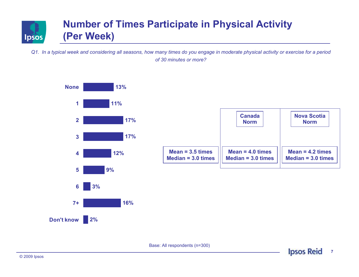

*Q1. In a typical week and considering all seasons, how many times do you engage in moderate physical activity or exercise for a period of 30 minutes or more?* 



Base: All respondents (n=300)

**7**

**Ipsos Reid**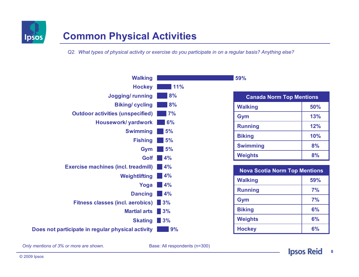

#### **Common Physical Activities**

*Q2. What types of physical activity or exercise do you participate in on a regular basis? Anything else?* 

| <b>Walking</b>                                    |     |
|---------------------------------------------------|-----|
| <b>Hockey</b>                                     | 11% |
| <b>Jogging/running</b>                            | 8%  |
| <b>Biking/cycling</b>                             | 8%  |
| <b>Outdoor activities (unspecified)</b>           | 7%  |
| <b>Housework/ yardwork</b>                        | 6%  |
| <b>Swimming</b>                                   | 5%  |
| <b>Fishing</b>                                    | 5%  |
| Gym                                               | 5%  |
| Golf                                              | 4%  |
| <b>Exercise machines (incl. treadmill)</b>        | 4%  |
| Weightlifting                                     | 4%  |
| Yoga                                              | 4%  |
| <b>Dancing</b>                                    | 4%  |
| <b>Fitness classes (incl. aerobics)</b>           | 13% |
| <b>Martial arts</b>                               | 3%  |
| <b>Skating</b>                                    | 3%  |
| Does not participate in regular physical activity | 9%  |

| <b>Canada Norm Top Mentions</b> |     |  |
|---------------------------------|-----|--|
| <b>Walking</b>                  | 50% |  |
| Gym                             | 13% |  |
| <b>Running</b>                  | 12% |  |
| <b>Biking</b>                   | 10% |  |
| <b>Swimming</b>                 | 8%  |  |
| <b>Weights</b>                  | 8%  |  |

**59%**

| <b>Nova Scotia Norm Top Mentions</b> |     |  |
|--------------------------------------|-----|--|
| <b>Walking</b>                       | 59% |  |
| <b>Running</b>                       | 7%  |  |
| Gym                                  | 7%  |  |
| <b>Biking</b>                        | 6%  |  |
| <b>Weights</b>                       | 6%  |  |
| <b>Hockey</b>                        | 6%  |  |

*Only mentions of 3% or more are shown.*

Base: All respondents (n=300)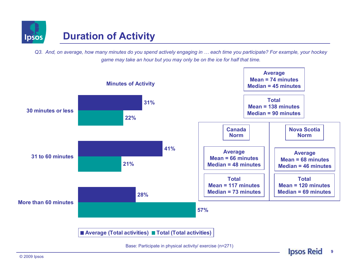

*Q3. And, on average, how many minutes do you spend actively engaging in … each time you participate? For example, your hockey game may take an hour but you may only be on the ice for half that time.* 

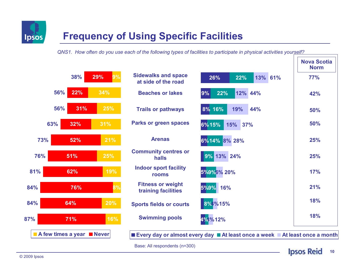

### **Frequency of Using Specific Facilities**

*QNS1. How often do you use each of the following types of facilities to participate in physical activities yourself?*



**Ipsos Reid 10**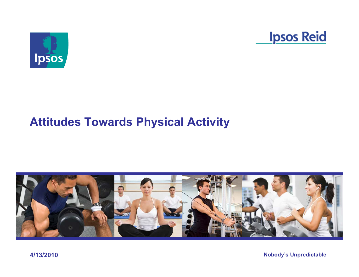



# **Attitudes Towards Physical Activity**



**4/13/2010**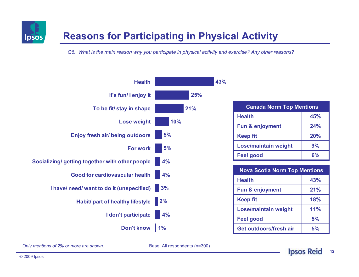

### **Reasons for Participating in Physical Activity**

*Q6. What is the main reason why you participate in physical activity and exercise? Any other reasons?* 



| <b>Canada Norm Top Mentions</b> |     |  |
|---------------------------------|-----|--|
| <b>Health</b>                   | 45% |  |
| <b>Fun &amp; enjoyment</b>      | 24% |  |
| <b>Keep fit</b>                 | 20% |  |
| <b>Lose/maintain weight</b>     | 9%  |  |
| <b>Feel good</b>                | 6%  |  |

| <b>Nova Scotia Norm Top Mentions</b> |     |  |
|--------------------------------------|-----|--|
| <b>Health</b>                        | 43% |  |
| <b>Fun &amp; enjoyment</b>           | 21% |  |
| <b>Keep fit</b>                      | 18% |  |
| <b>Lose/maintain weight</b>          | 11% |  |
| <b>Feel good</b>                     | 5%  |  |
| Get outdoors/fresh air               | 5%  |  |

Base: All respondents (n=300)

*Only mentions of 2% or more are shown.*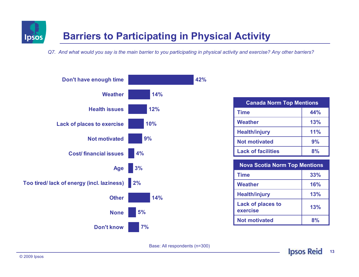

*Q7. And what would you say is the main barrier to you participating in physical activity and exercise? Any other barriers?* 



Base: All respondents (n=300)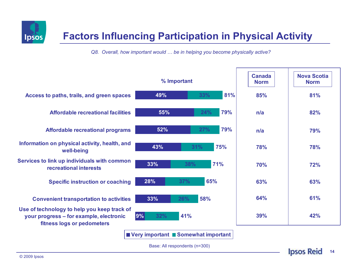

### **Factors Influencing Participation in Physical Activity**

*Q8. Overall, how important would ... be in helping you become physically active?* 

|                                                                                                                      | % Important |            | <b>Canada</b><br><b>Norm</b> | <b>Nova Scotia</b><br><b>Norm</b> |     |
|----------------------------------------------------------------------------------------------------------------------|-------------|------------|------------------------------|-----------------------------------|-----|
| Access to paths, trails, and green spaces                                                                            | 49%         | 33%        | 81%                          | 85%                               | 81% |
| Affordable recreational facilities                                                                                   | 55%         | 24%        | 79%                          | n/a                               | 82% |
| <b>Affordable recreational programs</b>                                                                              | 52%         | 27%        | 79%                          | n/a                               | 79% |
| Information on physical activity, health, and<br>well-being                                                          | 43%         | 31%        | 75%                          | 78%                               | 78% |
| Services to link up individuals with common<br>recreational interests                                                | 33%         | 38%        | 71%                          | 70%                               | 72% |
| <b>Specific instruction or coaching</b>                                                                              | 28%         | 65%<br>37% |                              | 63%                               | 63% |
| <b>Convenient transportation to activities</b>                                                                       | 33%         | 58%<br>26% |                              | 64%                               | 61% |
| Use of technology to help you keep track of<br>your progress – for example, electronic<br>fitness logs or pedometers | 9%<br>32%   | 41%        |                              | 39%                               | 42% |
| Very important Somewhat important                                                                                    |             |            |                              |                                   |     |

Base: All respondents (n=300)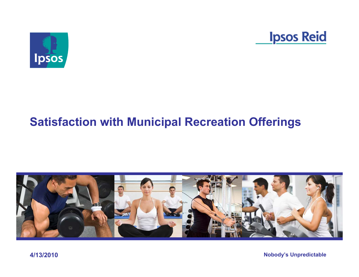



## **Satisfaction with Municipal Recreation Offerings**



**4/13/2010**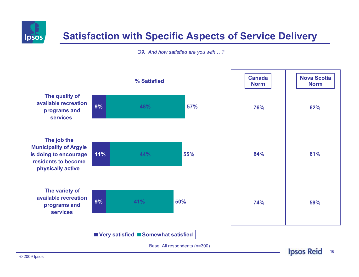

#### **Satisfaction with Specific Aspects of Service Delivery**

*Q9. And how satisfied are you with …?*

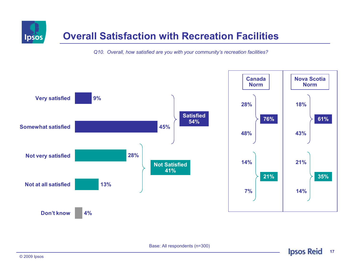

#### **Overall Satisfaction with Recreation Facilities**

*Q10. Overall, how satisfied are you with your community's recreation facilities?*



Base: All respondents (n=300)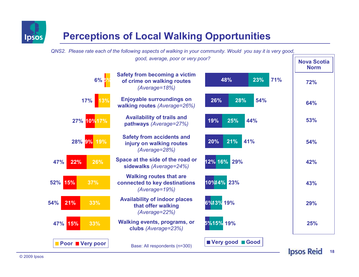

### **Perceptions of Local Walking Opportunities**

*QNS2. Please rate each of the following aspects of walking in your community. Would you say it is very good,* 

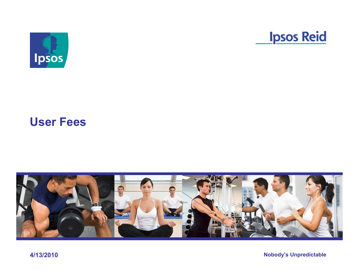



#### **User Fees**



**4/13/2010**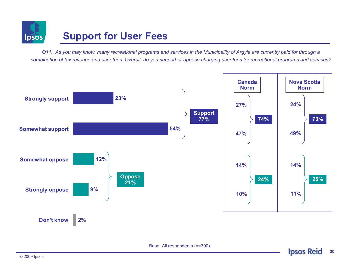

#### **Support for User Fees**

*Q11. As you may know, many recreational programs and services in the Municipality of Argyle are currently paid for through a combination of tax revenue and user fees. Overall, do you support or oppose charging user fees for recreational programs and services?* 



Base: All respondents (n=300)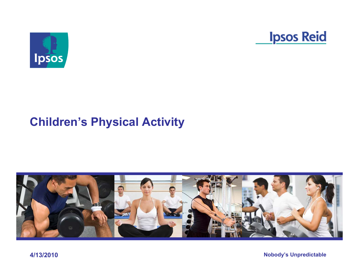



# **Children's Physical Activity**



**4/13/2010**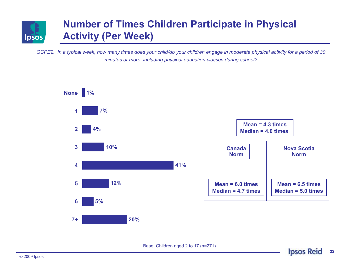

#### **Number of Times Children Participate in Physical Activity (Per Week)**

*QCPE2. In a typical week, how many times does your child/do your children engage in moderate physical activity for a period of 30 minutes or more, including physical education classes during school?*



Base: Children aged 2 to 17 (n=271)

**22**

**Ipsos Reid**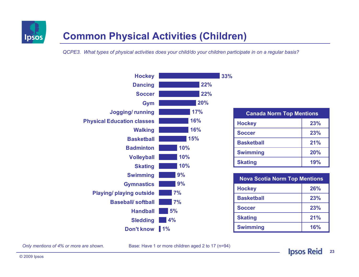

#### **Common Physical Activities (Children)**

*QCPE3. What types of physical activities does your child/do your children participate in on a regular basis?* 



| <b>Canada Norm Top Mentions</b> |     |  |
|---------------------------------|-----|--|
| <b>Hockey</b>                   | 23% |  |
| <b>Soccer</b>                   | 23% |  |
| <b>Basketball</b>               | 21% |  |
| <b>Swimming</b>                 | 20% |  |
| <b>Skating</b>                  | 19% |  |

| <b>Nova Scotia Norm Top Mentions</b> |     |  |
|--------------------------------------|-----|--|
| <b>Hockey</b>                        | 26% |  |
| <b>Basketball</b>                    | 23% |  |
| <b>Soccer</b>                        | 23% |  |
| <b>Skating</b>                       | 21% |  |
| <b>Swimming</b>                      | 16% |  |

*Only mentions of 4% or more are shown.*

Base: Have 1 or more children aged 2 to 17 (n=94)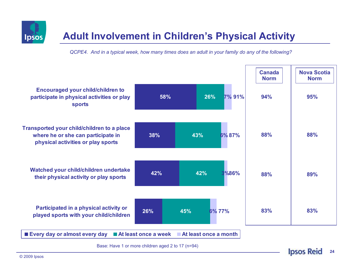





Base: Have 1 or more children aged 2 to 17 (n=94)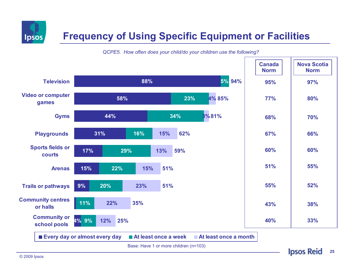

### **Frequency of Using Specific Equipment or Facilities**



*QCPE5. How often does your child/do your children use the following?*

Base: Have 1 or more children (n=103)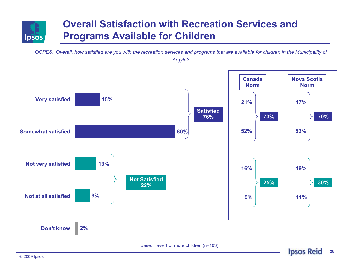

#### **Overall Satisfaction with Recreation Services and Programs Available for Children**

*QCPE6. Overall, how satisfied are you with the recreation services and programs that are available for children in the Municipality of Argyle?* 

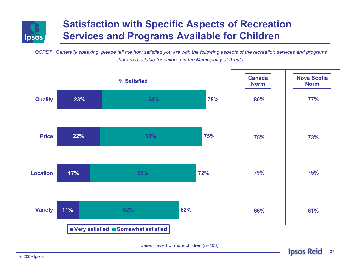

#### **Satisfaction with Specific Aspects of Recreation Services and Programs Available for Children**

*QCPE7. Generally speaking, please tell me how satisfied you are with the following aspects of the recreation services and programs that are available for children in the Municipality of Argyle.*



Base: Have 1 or more children (n=103)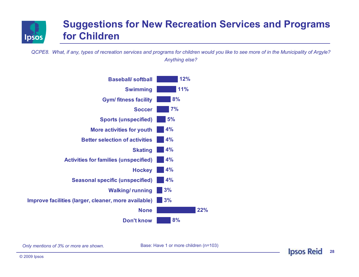

#### **Suggestions for New Recreation Services and Programs for Children**

*QCPE8. What, if any, types of recreation services and programs for children would you like to see more of in the Municipality of Argyle? Anything else?* 



*Only mentions of 3% or more are shown.*

Base: Have 1 or more children (n=103)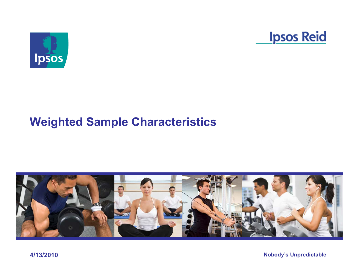



# **Weighted Sample Characteristics**



**4/13/2010**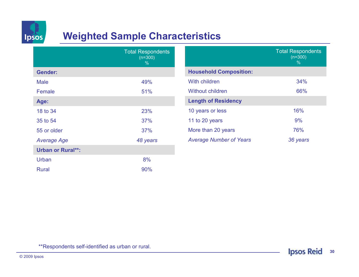

#### **Weighted Sample Characteristics**

|                          | <b>Total Respondents</b><br>$(n=300)$<br>$\%$ |
|--------------------------|-----------------------------------------------|
| <b>Gender:</b>           |                                               |
| Male                     | 49%                                           |
| Female                   | 51%                                           |
| Age:                     |                                               |
| 18 to 34                 | 23%                                           |
| 35 to 54                 | 37%                                           |
| 55 or older              | 37%                                           |
| <b>Average Age</b>       | 48 years                                      |
| <b>Urban or Rural**:</b> |                                               |
| Urban                    | 8%                                            |
| <b>Rural</b>             | 90%                                           |

|                                | <b>Total Respondents</b><br>$(n=300)$<br>$\%$ |
|--------------------------------|-----------------------------------------------|
| <b>Household Composition:</b>  |                                               |
| With children                  | 34%                                           |
| <b>Without children</b>        | 66%                                           |
| <b>Length of Residency</b>     |                                               |
| 10 years or less               | 16%                                           |
| 11 to 20 years                 | 9%                                            |
| More than 20 years             | 76%                                           |
| <b>Average Number of Years</b> | 36 years                                      |

\*\*Respondents self-identified as urban or rural.